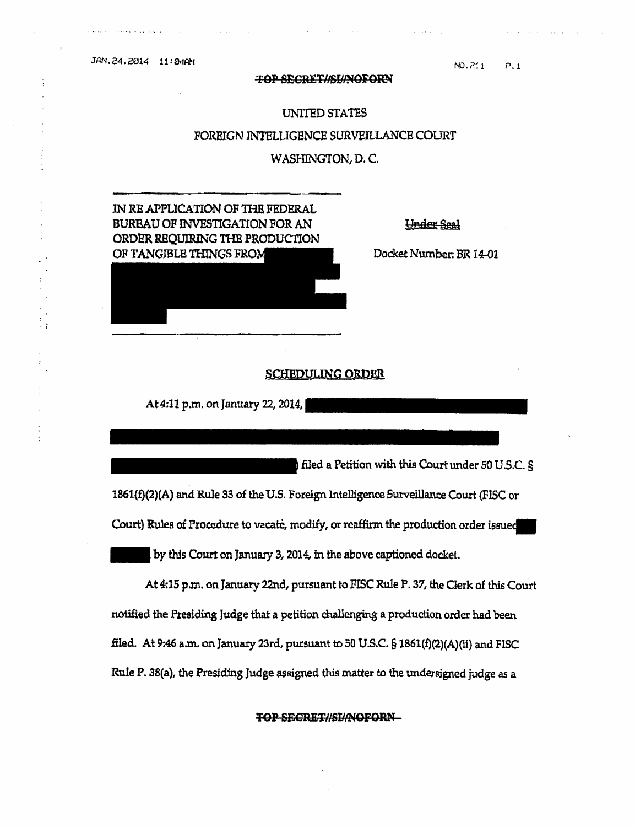JAN.24.2014 11:24AM

## TOP SECRET//SL/NOFORN

NO.211  $P, 1$ 

## UNITED STATES FOREIGN INTELLIGENCE SURVEILLANCE COURT WASHINGTON, D.C.

IN RE APPLICATION OF THE FEDERAL BURBAU OF INVESTIGATION FOR AN ORDER REOUIRING THE PRODUCTION OF TANGIBLE THINGS FROM THE Docket Number: BR 14-01

Under Seal

## SCHEDULING ORDER

At 4:11 p.m. on January 22, 2014,

filed a Petition with this Court under 50 U.S.C.  $\S$ 1861(£)(2)(A) and Rule 33 0£ the U.S. Foreign Intelligence Surveillance Court (FISC or Court) Rules of Procedure to vacate, modify, or reaffirm the production order issued

by this Court on January 3, 2014, in the above captioned docket.

At 4:15 p.m. on January 22nd, pursuant to FISC Rule P. 37, the Clerk of this Court notified the Presiding Judge that a petition challenging a production order had been filed. At 9:46 a.m. on January 23rd, pursuant to 50U.S.C.§1861(£){2)(A)(ll) and FISC Rule P. 38(a), the Presiding Judge assigned this matter to the undersigned judge as a

TOP SBCRET//SIJ/NOFORN